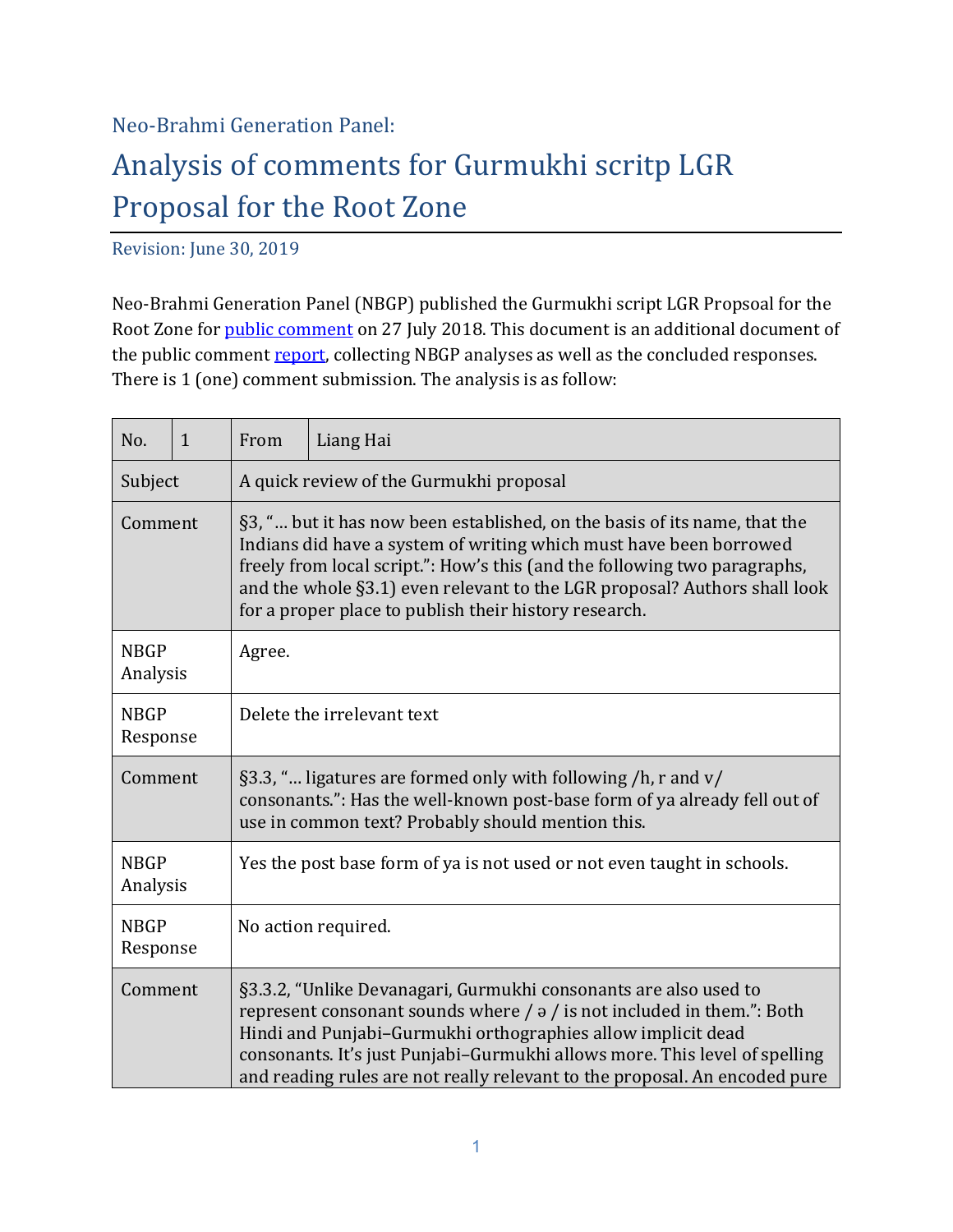## Neo-Brahmi Generation Panel:

## Analysis of comments for Gurmukhi scritp LGR Proposal for the Root Zone

Revision: June 30, 2019

Neo-Brahmi Generation Panel (NBGP) published the Gurmukhi script LGR Propsoal for the Root Zone for public comment on 27 July 2018. This document is an additional document of the public comment report, collecting NBGP analyses as well as the concluded responses. There is  $1$  (one) comment submission. The analysis is as follow:

| No.                     | $\mathbf{1}$ | From                                                                                                                                                                                                                                                                                                                                                               | Liang Hai                                                                                                                                                                                                                                                                                                                                                                        |
|-------------------------|--------------|--------------------------------------------------------------------------------------------------------------------------------------------------------------------------------------------------------------------------------------------------------------------------------------------------------------------------------------------------------------------|----------------------------------------------------------------------------------------------------------------------------------------------------------------------------------------------------------------------------------------------------------------------------------------------------------------------------------------------------------------------------------|
| Subject                 |              |                                                                                                                                                                                                                                                                                                                                                                    | A quick review of the Gurmukhi proposal                                                                                                                                                                                                                                                                                                                                          |
| Comment                 |              | §3, " but it has now been established, on the basis of its name, that the<br>Indians did have a system of writing which must have been borrowed<br>freely from local script.": How's this (and the following two paragraphs,<br>and the whole §3.1) even relevant to the LGR proposal? Authors shall look<br>for a proper place to publish their history research. |                                                                                                                                                                                                                                                                                                                                                                                  |
| <b>NBGP</b><br>Analysis |              | Agree.                                                                                                                                                                                                                                                                                                                                                             |                                                                                                                                                                                                                                                                                                                                                                                  |
| <b>NBGP</b><br>Response |              |                                                                                                                                                                                                                                                                                                                                                                    | Delete the irrelevant text                                                                                                                                                                                                                                                                                                                                                       |
| Comment                 |              |                                                                                                                                                                                                                                                                                                                                                                    | §3.3, " ligatures are formed only with following /h, r and v/<br>consonants.": Has the well-known post-base form of ya already fell out of<br>use in common text? Probably should mention this.                                                                                                                                                                                  |
| <b>NBGP</b><br>Analysis |              |                                                                                                                                                                                                                                                                                                                                                                    | Yes the post base form of ya is not used or not even taught in schools.                                                                                                                                                                                                                                                                                                          |
| <b>NBGP</b><br>Response |              |                                                                                                                                                                                                                                                                                                                                                                    | No action required.                                                                                                                                                                                                                                                                                                                                                              |
| Comment                 |              |                                                                                                                                                                                                                                                                                                                                                                    | §3.3.2, "Unlike Devanagari, Gurmukhi consonants are also used to<br>represent consonant sounds where $/ \frac{1}{9}$ is not included in them.": Both<br>Hindi and Punjabi-Gurmukhi orthographies allow implicit dead<br>consonants. It's just Punjabi-Gurmukhi allows more. This level of spelling<br>and reading rules are not really relevant to the proposal. An encoded pure |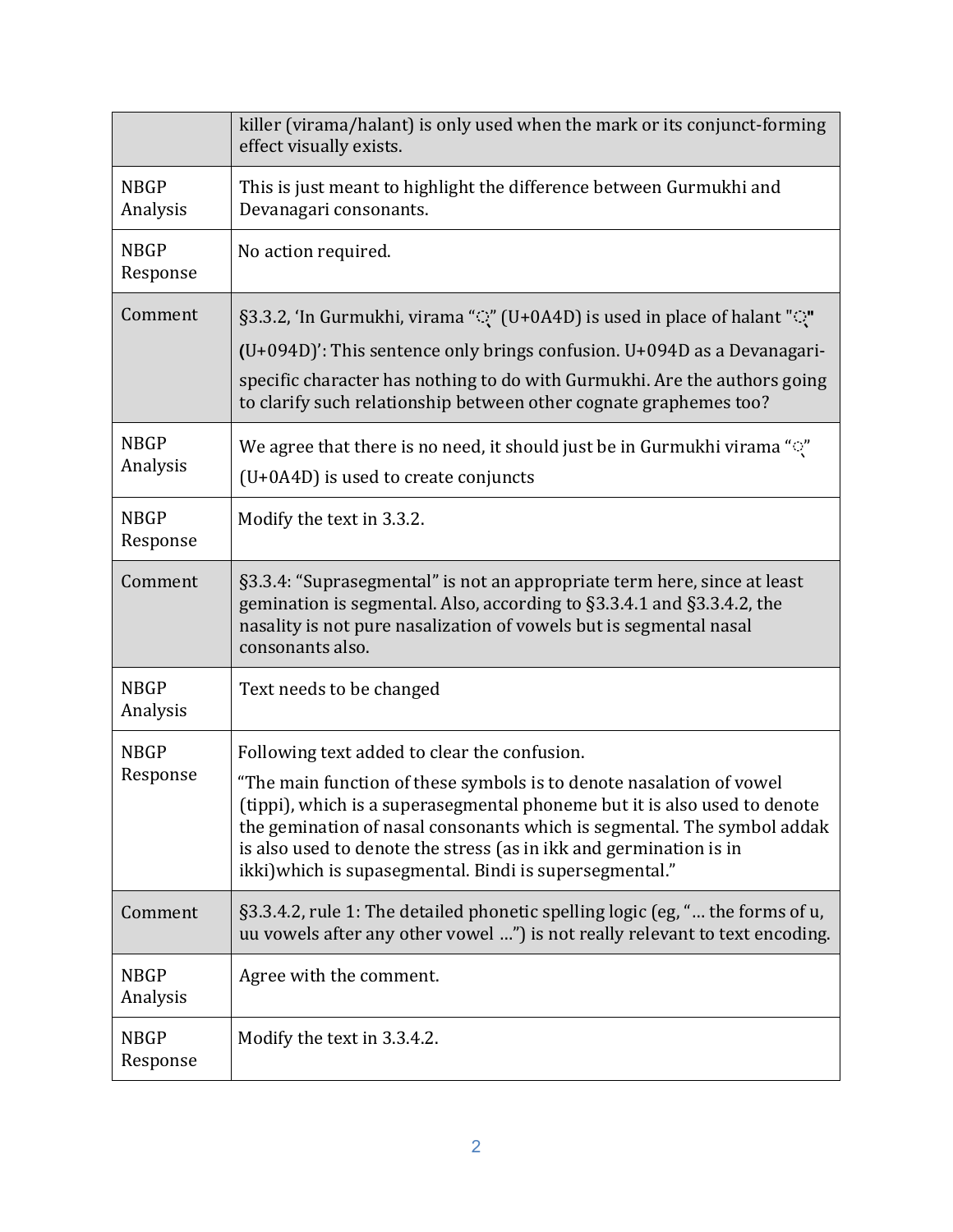|                         | killer (virama/halant) is only used when the mark or its conjunct-forming<br>effect visually exists.                                                                                                                                                                                                                                                                                                          |
|-------------------------|---------------------------------------------------------------------------------------------------------------------------------------------------------------------------------------------------------------------------------------------------------------------------------------------------------------------------------------------------------------------------------------------------------------|
| <b>NBGP</b><br>Analysis | This is just meant to highlight the difference between Gurmukhi and<br>Devanagari consonants.                                                                                                                                                                                                                                                                                                                 |
| <b>NBGP</b><br>Response | No action required.                                                                                                                                                                                                                                                                                                                                                                                           |
| Comment                 | §3.3.2, 'In Gurmukhi, virama ""(" (U+0A4D) is used in place of halant "")"<br>$(U+094D)'$ : This sentence only brings confusion. $U+094D$ as a Devanagari-<br>specific character has nothing to do with Gurmukhi. Are the authors going<br>to clarify such relationship between other cognate graphemes too?                                                                                                  |
| <b>NBGP</b><br>Analysis | We agree that there is no need, it should just be in Gurmukhi virama "Q"<br>(U+0A4D) is used to create conjuncts                                                                                                                                                                                                                                                                                              |
| <b>NBGP</b><br>Response | Modify the text in 3.3.2.                                                                                                                                                                                                                                                                                                                                                                                     |
| Comment                 | §3.3.4: "Suprasegmental" is not an appropriate term here, since at least<br>gemination is segmental. Also, according to §3.3.4.1 and §3.3.4.2, the<br>nasality is not pure nasalization of vowels but is segmental nasal<br>consonants also.                                                                                                                                                                  |
| <b>NBGP</b><br>Analysis | Text needs to be changed                                                                                                                                                                                                                                                                                                                                                                                      |
| <b>NBGP</b><br>Response | Following text added to clear the confusion.<br>"The main function of these symbols is to denote nasalation of vowel<br>(tippi), which is a superasegmental phoneme but it is also used to denote<br>the gemination of nasal consonants which is segmental. The symbol addak<br>is also used to denote the stress (as in ikk and germination is in<br>ikki) which is supasegmental. Bindi is supersegmental." |
| Comment                 | §3.3.4.2, rule 1: The detailed phonetic spelling logic (eg, " the forms of u,<br>uu vowels after any other vowel ") is not really relevant to text encoding.                                                                                                                                                                                                                                                  |
| <b>NBGP</b><br>Analysis | Agree with the comment.                                                                                                                                                                                                                                                                                                                                                                                       |
| <b>NBGP</b><br>Response | Modify the text in 3.3.4.2.                                                                                                                                                                                                                                                                                                                                                                                   |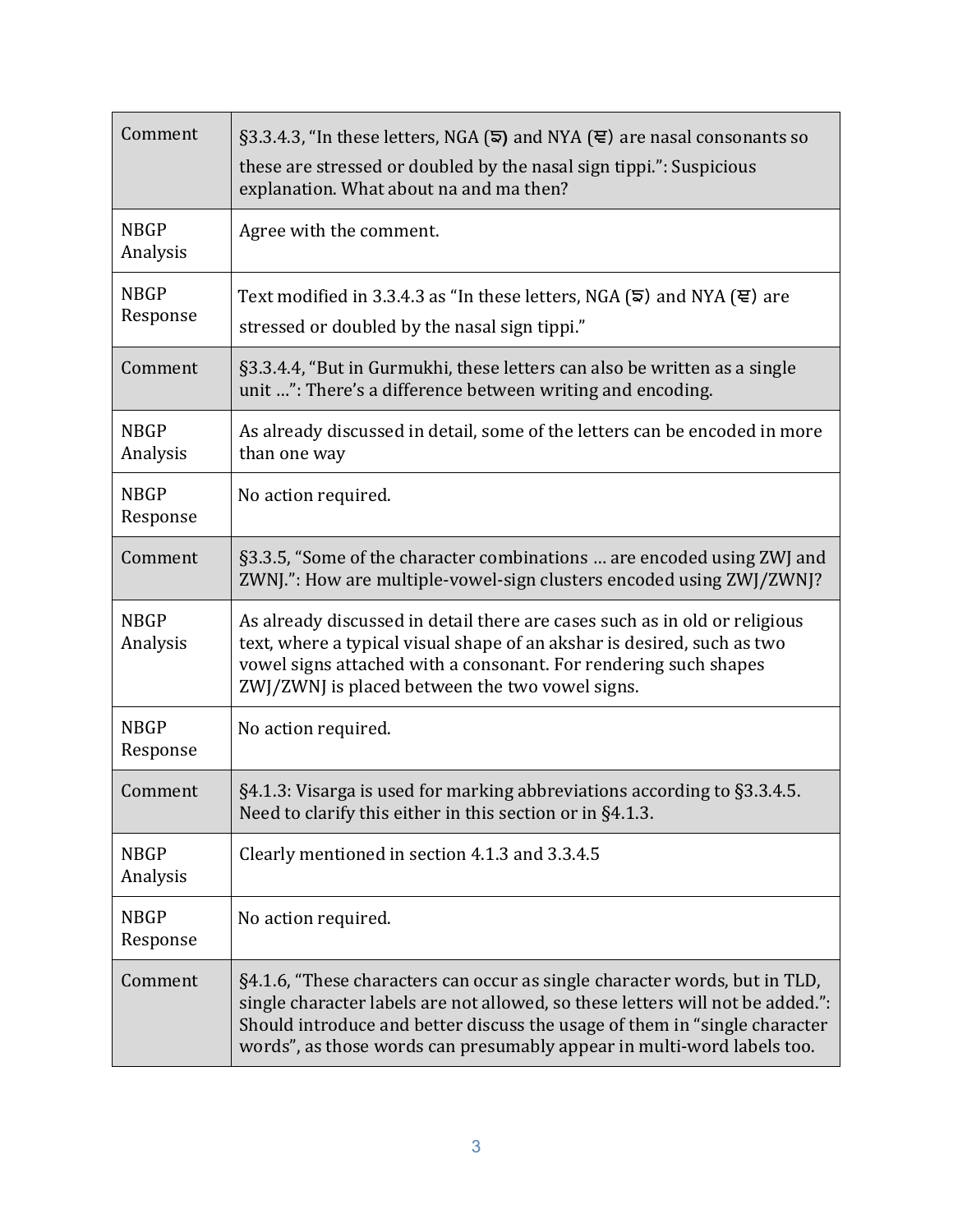| Comment                 | $\S$ 3.3.4.3, "In these letters, NGA ( $\overline{5}$ ) and NYA ( $\overline{e}$ ) are nasal consonants so<br>these are stressed or doubled by the nasal sign tippi.": Suspicious<br>explanation. What about na and ma then?                                                                                         |  |
|-------------------------|----------------------------------------------------------------------------------------------------------------------------------------------------------------------------------------------------------------------------------------------------------------------------------------------------------------------|--|
| <b>NBGP</b><br>Analysis | Agree with the comment.                                                                                                                                                                                                                                                                                              |  |
| <b>NBGP</b><br>Response | Text modified in 3.3.4.3 as "In these letters, NGA ( $\overline{5}$ ) and NYA ( $\overline{5}$ ) are<br>stressed or doubled by the nasal sign tippi."                                                                                                                                                                |  |
| Comment                 | §3.3.4.4, "But in Gurmukhi, these letters can also be written as a single<br>unit ": There's a difference between writing and encoding.                                                                                                                                                                              |  |
| <b>NBGP</b><br>Analysis | As already discussed in detail, some of the letters can be encoded in more<br>than one way                                                                                                                                                                                                                           |  |
| <b>NBGP</b><br>Response | No action required.                                                                                                                                                                                                                                                                                                  |  |
| Comment                 | §3.3.5, "Some of the character combinations  are encoded using ZWJ and<br>ZWNJ.": How are multiple-vowel-sign clusters encoded using ZWJ/ZWNJ?                                                                                                                                                                       |  |
| <b>NBGP</b><br>Analysis | As already discussed in detail there are cases such as in old or religious<br>text, where a typical visual shape of an akshar is desired, such as two<br>vowel signs attached with a consonant. For rendering such shapes<br>ZWJ/ZWNJ is placed between the two vowel signs.                                         |  |
| <b>NBGP</b><br>Response | No action required.                                                                                                                                                                                                                                                                                                  |  |
| Comment                 | §4.1.3: Visarga is used for marking abbreviations according to §3.3.4.5.<br>Need to clarify this either in this section or in §4.1.3.                                                                                                                                                                                |  |
| <b>NBGP</b><br>Analysis | Clearly mentioned in section 4.1.3 and 3.3.4.5                                                                                                                                                                                                                                                                       |  |
| <b>NBGP</b><br>Response | No action required.                                                                                                                                                                                                                                                                                                  |  |
| Comment                 | §4.1.6, "These characters can occur as single character words, but in TLD,<br>single character labels are not allowed, so these letters will not be added.":<br>Should introduce and better discuss the usage of them in "single character<br>words", as those words can presumably appear in multi-word labels too. |  |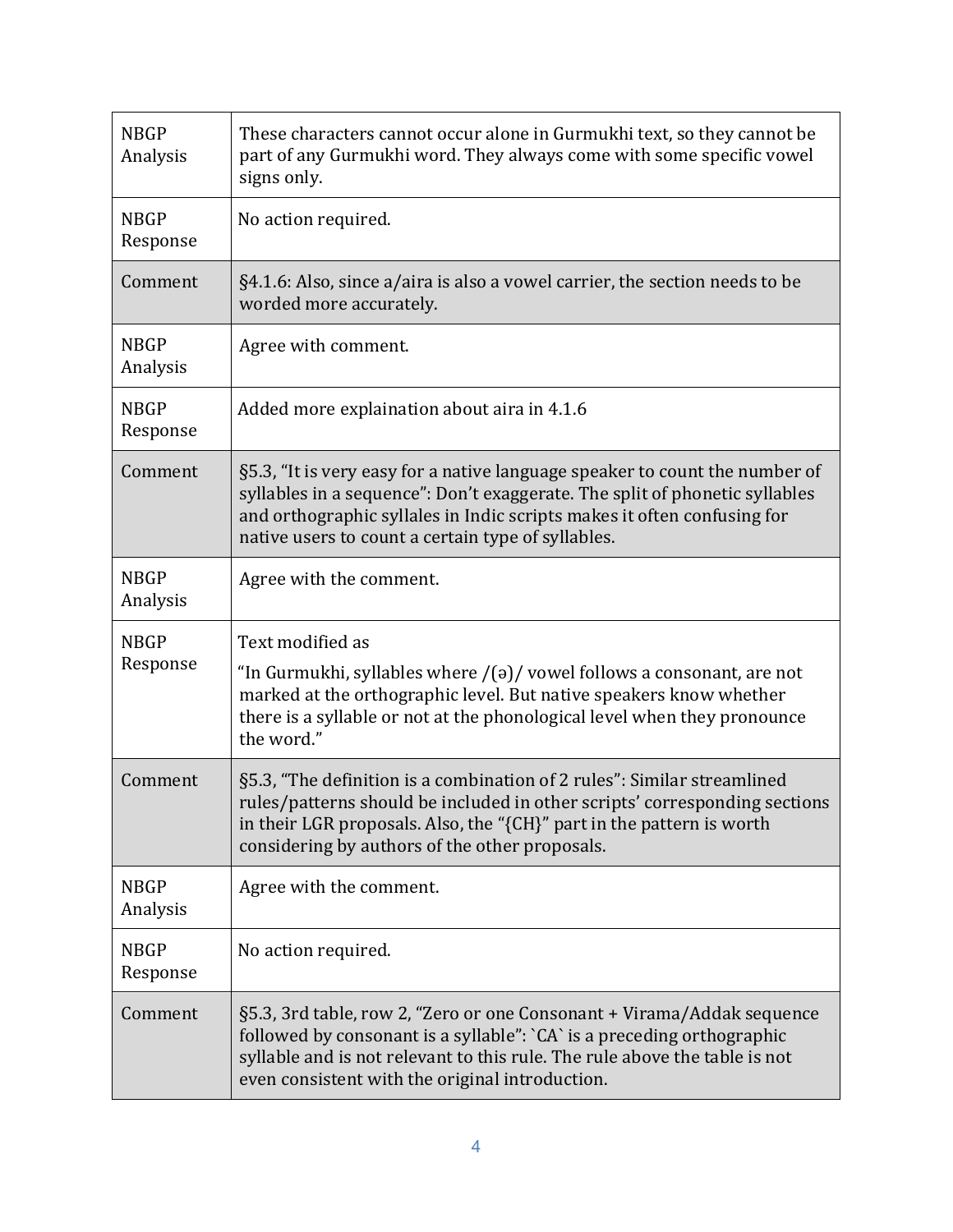| <b>NBGP</b><br>Analysis | These characters cannot occur alone in Gurmukhi text, so they cannot be<br>part of any Gurmukhi word. They always come with some specific vowel<br>signs only.                                                                                                                              |
|-------------------------|---------------------------------------------------------------------------------------------------------------------------------------------------------------------------------------------------------------------------------------------------------------------------------------------|
| <b>NBGP</b><br>Response | No action required.                                                                                                                                                                                                                                                                         |
| Comment                 | §4.1.6: Also, since a/aira is also a vowel carrier, the section needs to be<br>worded more accurately.                                                                                                                                                                                      |
| <b>NBGP</b><br>Analysis | Agree with comment.                                                                                                                                                                                                                                                                         |
| <b>NBGP</b><br>Response | Added more explaination about aira in 4.1.6                                                                                                                                                                                                                                                 |
| Comment                 | §5.3, "It is very easy for a native language speaker to count the number of<br>syllables in a sequence": Don't exaggerate. The split of phonetic syllables<br>and orthographic syllales in Indic scripts makes it often confusing for<br>native users to count a certain type of syllables. |
| <b>NBGP</b><br>Analysis | Agree with the comment.                                                                                                                                                                                                                                                                     |
| <b>NBGP</b><br>Response | Text modified as<br>"In Gurmukhi, syllables where $/(a)/$ vowel follows a consonant, are not<br>marked at the orthographic level. But native speakers know whether<br>there is a syllable or not at the phonological level when they pronounce<br>the word."                                |
| Comment                 | §5.3, "The definition is a combination of 2 rules": Similar streamlined<br>rules/patterns should be included in other scripts' corresponding sections<br>in their LGR proposals. Also, the "{CH}" part in the pattern is worth<br>considering by authors of the other proposals.            |
| <b>NBGP</b><br>Analysis | Agree with the comment.                                                                                                                                                                                                                                                                     |
| <b>NBGP</b><br>Response | No action required.                                                                                                                                                                                                                                                                         |
| Comment                 | §5.3, 3rd table, row 2, "Zero or one Consonant + Virama/Addak sequence<br>followed by consonant is a syllable": `CA` is a preceding orthographic<br>syllable and is not relevant to this rule. The rule above the table is not<br>even consistent with the original introduction.           |